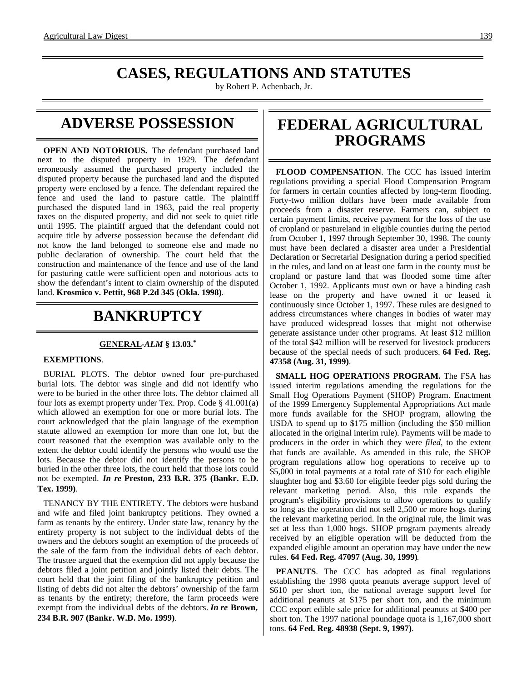## **CASES, REGULATIONS AND STATUTES**

by Robert P. Achenbach, Jr.

## **ADVERSE POSSESSION**

**OPEN AND NOTORIOUS.** The defendant purchased land next to the disputed property in 1929. The defendant erroneously assumed the purchased property included the disputed property because the purchased land and the disputed property were enclosed by a fence. The defendant repaired the fence and used the land to pasture cattle. The plaintiff purchased the disputed land in 1963, paid the real property taxes on the disputed property, and did not seek to quiet title until 1995. The plaintiff argued that the defendant could not acquire title by adverse possession because the defendant did not know the land belonged to someone else and made no public declaration of ownership. The court held that the construction and maintenance of the fence and use of the land for pasturing cattle were sufficient open and notorious acts to show the defendant's intent to claim ownership of the disputed land. **Krosmico v. Pettit, 968 P.2d 345 (Okla. 1998)**.

# **BANKRUPTCY**

#### **GENERAL -***ALM* **§ 13.03.\***

#### **EXEMPTIONS**.

BURIAL PLOTS. The debtor owned four pre-purchased burial lots. The debtor was single and did not identify who were to be buried in the other three lots. The debtor claimed all four lots as exempt property under Tex. Prop. Code § 41.001(a) which allowed an exemption for one or more burial lots. The court acknowledged that the plain language of the exemption statute allowed an exemption for more than one lot, but the court reasoned that the exemption was available only to the extent the debtor could identify the persons who would use the lots. Because the debtor did not identify the persons to be buried in the other three lots, the court held that those lots could not be exempted. *In re* **Preston, 233 B.R. 375 (Bankr. E.D. Tex. 1999)**.

TENANCY BY THE ENTIRETY. The debtors were husband and wife and filed joint bankruptcy petitions. They owned a farm as tenants by the entirety. Under state law, tenancy by the entirety property is not subject to the individual debts of the owners and the debtors sought an exemption of the proceeds of the sale of the farm from the individual debts of each debtor. The trustee argued that the exemption did not apply because the debtors filed a joint petition and jointly listed their debts. The court held that the joint filing of the bankruptcy petition and listing of debts did not alter the debtors' ownership of the farm as tenants by the entirety; therefore, the farm proceeds were exempt from the individual debts of the debtors. *In re* **Brown, 234 B.R. 907 (Bankr. W.D. Mo. 1999)**.

## **FEDERAL AGRICULTURAL PROGRAMS**

**FLOOD COMPENSATION**. The CCC has issued interim regulations providing a special Flood Compensation Program for farmers in certain counties affected by long-term flooding. Forty-two million dollars have been made available from proceeds from a disaster reserve. Farmers can, subject to certain payment limits, receive payment for the loss of the use of cropland or pastureland in eligible counties during the period from October 1, 1997 through September 30, 1998. The county must have been declared a disaster area under a Presidential Declaration or Secretarial Designation during a period specified in the rules, and land on at least one farm in the county must be cropland or pasture land that was flooded some time after October 1, 1992. Applicants must own or have a binding cash lease on the property and have owned it or leased it continuously since October 1, 1997. These rules are designed to address circumstances where changes in bodies of water may have produced widespread losses that might not otherwise generate assistance under other programs. At least \$12 million of the total \$42 million will be reserved for livestock producers because of the special needs of such producers. **64 Fed. Reg. 47358 (Aug. 31, 1999)**.

**SMALL HOG OPERATIONS PROGRAM.** The FSA has issued interim regulations amending the regulations for the Small Hog Operations Payment (SHOP) Program. Enactment of the 1999 Emergency Supplemental Appropriations Act made more funds available for the SHOP program, allowing the USDA to spend up to \$175 million (including the \$50 million allocated in the original interim rule). Payments will be made to producers in the order in which they were *filed*, to the extent that funds are available. As amended in this rule, the SHOP program regulations allow hog operations to receive up to \$5,000 in total payments at a total rate of \$10 for each eligible slaughter hog and \$3.60 for eligible feeder pigs sold during the relevant marketing period. Also, this rule expands the program's eligibility provisions to allow operations to qualify so long as the operation did not sell 2,500 or more hogs during the relevant marketing period. In the original rule, the limit was set at less than 1,000 hogs. SHOP program payments already received by an eligible operation will be deducted from the expanded eligible amount an operation may have under the new rules. **64 Fed. Reg. 47097 (Aug. 30, 1999)**.

**PEANUTS**. The CCC has adopted as final regulations establishing the 1998 quota peanuts average support level of \$610 per short ton, the national average support level for additional peanuts at \$175 per short ton, and the minimum CCC export edible sale price for additional peanuts at \$400 per short ton. The 1997 national poundage quota is 1,167,000 short tons. **64 Fed. Reg. 48938 (Sept. 9, 1997)**.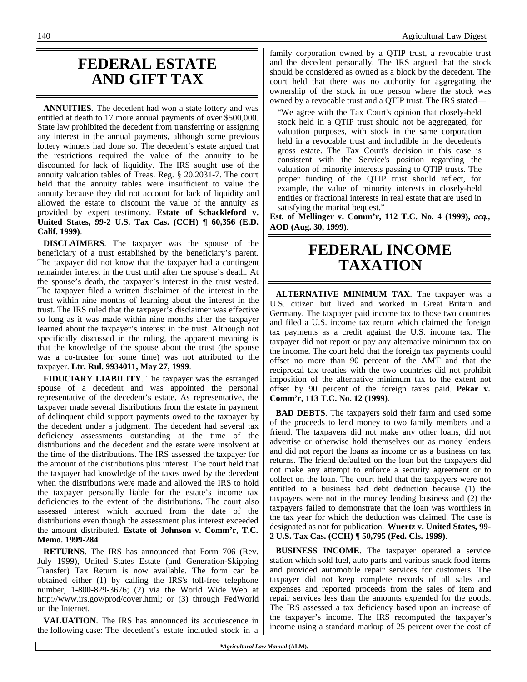### **FEDERAL ESTATE AND GIFT TAX**

**ANNUITIES.** The decedent had won a state lottery and was entitled at death to 17 more annual payments of over \$500,000. State law prohibited the decedent from transferring or assigning any interest in the annual payments, although some previous lottery winners had done so. The decedent's estate argued that the restrictions required the value of the annuity to be discounted for lack of liquidity. The IRS sought use of the annuity valuation tables of Treas. Reg. § 20.2031-7. The court held that the annuity tables were insufficient to value the annuity because they did not account for lack of liquidity and allowed the estate to discount the value of the annuity as provided by expert testimony. **Estate of Schackleford v. United States, 99-2 U.S. Tax Cas. (CCH) ¶ 60,356 (E.D. Calif. 1999)**.

**DISCLAIMERS**. The taxpayer was the spouse of the beneficiary of a trust established by the beneficiary's parent. The taxpayer did not know that the taxpayer had a contingent remainder interest in the trust until after the spouse's death. At the spouse's death, the taxpayer's interest in the trust vested. The taxpayer filed a written disclaimer of the interest in the trust within nine months of learning about the interest in the trust. The IRS ruled that the taxpayer's disclaimer was effective so long as it was made within nine months after the taxpayer learned about the taxpayer's interest in the trust. Although not specifically discussed in the ruling, the apparent meaning is that the knowledge of the spouse about the trust (the spouse was a co-trustee for some time) was not attributed to the taxpayer. **Ltr. Rul. 9934011, May 27, 1999**.

**FIDUCIARY LIABILITY**. The taxpayer was the estranged spouse of a decedent and was appointed the personal representative of the decedent's estate. As representative, the taxpayer made several distributions from the estate in payment of delinquent child support payments owed to the taxpayer by the decedent under a judgment. The decedent had several tax deficiency assessments outstanding at the time of the distributions and the decedent and the estate were insolvent at the time of the distributions. The IRS assessed the taxpayer for the amount of the distributions plus interest. The court held that the taxpayer had knowledge of the taxes owed by the decedent when the distributions were made and allowed the IRS to hold the taxpayer personally liable for the estate's income tax deficiencies to the extent of the distributions. The court also assessed interest which accrued from the date of the distributions even though the assessment plus interest exceeded the amount distributed. **Estate of Johnson v. Comm'r, T.C. Memo. 1999-284**.

**RETURNS**. The IRS has announced that Form 706 (Rev. July 1999), United States Estate (and Generation-Skipping Transfer) Tax Return is now available. The form can be obtained either (1) by calling the IRS's toll-free telephone number, 1-800-829-3676; (2) via the World Wide Web at http://www.irs.gov/prod/cover.html; or (3) through FedWorld on the Internet.

**VALUATION**. The IRS has announced its acquiescence in the following case: The decedent's estate included stock in a

family corporation owned by a QTIP trust, a revocable trust and the decedent personally. The IRS argued that the stock should be considered as owned as a block by the decedent. The court held that there was no authority for aggregating the ownership of the stock in one person where the stock was owned by a revocable trust and a QTIP trust. The IRS stated—

"We agree with the Tax Court's opinion that closely-held stock held in a QTIP trust should not be aggregated, for valuation purposes, with stock in the same corporation held in a revocable trust and includible in the decedent's gross estate. The Tax Court's decision in this case is consistent with the Service's position regarding the valuation of minority interests passing to QTIP trusts. The proper funding of the QTIP trust should reflect, for example, the value of minority interests in closely-held entities or fractional interests in real estate that are used in satisfying the marital bequest."

**Est. of Mellinger v. Comm'r, 112 T.C. No. 4 (1999),** *acq***., AOD (Aug. 30, 1999)**.

## **FEDERAL INCOME TAXATION**

**ALTERNATIVE MINIMUM TAX**. The taxpayer was a U.S. citizen but lived and worked in Great Britain and Germany. The taxpayer paid income tax to those two countries and filed a U.S. income tax return which claimed the foreign tax payments as a credit against the U.S. income tax. The taxpayer did not report or pay any alternative minimum tax on the income. The court held that the foreign tax payments could offset no more than 90 percent of the AMT and that the reciprocal tax treaties with the two countries did not prohibit imposition of the alternative minimum tax to the extent not offset by 90 percent of the foreign taxes paid. **Pekar v. Comm'r, 113 T.C. No. 12 (1999)**.

**BAD DEBTS**. The taxpayers sold their farm and used some of the proceeds to lend money to two family members and a friend. The taxpayers did not make any other loans, did not advertise or otherwise hold themselves out as money lenders and did not report the loans as income or as a business on tax returns. The friend defaulted on the loan but the taxpayers did not make any attempt to enforce a security agreement or to collect on the loan. The court held that the taxpayers were not entitled to a business bad debt deduction because (1) the taxpayers were not in the money lending business and (2) the taxpayers failed to demonstrate that the loan was worthless in the tax year for which the deduction was claimed. The case is designated as not for publication. **Wuertz v. United States, 99- 2 U.S. Tax Cas. (CCH) ¶ 50,795 (Fed. Cls. 1999)**.

**BUSINESS INCOME**. The taxpayer operated a service station which sold fuel, auto parts and various snack food items and provided automobile repair services for customers. The taxpayer did not keep complete records of all sales and expenses and reported proceeds from the sales of item and repair services less than the amounts expended for the goods. The IRS assessed a tax deficiency based upon an increase of the taxpayer's income. The IRS recomputed the taxpayer's income using a standard markup of 25 percent over the cost of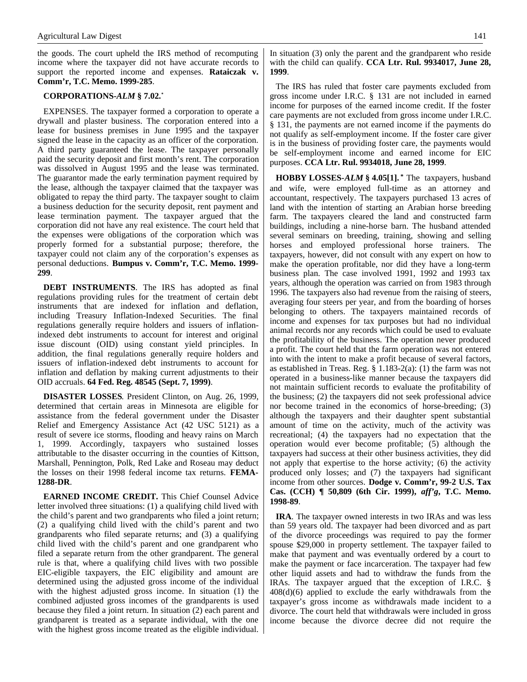the goods. The court upheld the IRS method of recomputing income where the taxpayer did not have accurate records to support the reported income and expenses. **Rataiczak v. Comm'r, T.C. Memo. 1999-285**.

#### **CORPORATIONS-***ALM* **§ 7.02.\***

EXPENSES. The taxpayer formed a corporation to operate a drywall and plaster business. The corporation entered into a lease for business premises in June 1995 and the taxpayer signed the lease in the capacity as an officer of the corporation. A third party guaranteed the lease. The taxpayer personally paid the security deposit and first month's rent. The corporation was dissolved in August 1995 and the lease was terminated. The guarantor made the early termination payment required by the lease, although the taxpayer claimed that the taxpayer was obligated to repay the third party. The taxpayer sought to claim a business deduction for the security deposit, rent payment and lease termination payment. The taxpayer argued that the corporation did not have any real existence. The court held that the expenses were obligations of the corporation which was properly formed for a substantial purpose; therefore, the taxpayer could not claim any of the corporation's expenses as personal deductions. **Bumpus v. Comm'r, T.C. Memo. 1999- 299**.

**DEBT INSTRUMENTS**. The IRS has adopted as final regulations providing rules for the treatment of certain debt instruments that are indexed for inflation and deflation, including Treasury Inflation-Indexed Securities. The final regulations generally require holders and issuers of inflationindexed debt instruments to account for interest and original issue discount (OID) using constant yield principles. In addition, the final regulations generally require holders and issuers of inflation-indexed debt instruments to account for inflation and deflation by making current adjustments to their OID accruals. **64 Fed. Reg. 48545 (Sept. 7, 1999)**.

**DISASTER LOSSES**. President Clinton, on Aug. 26, 1999, determined that certain areas in Minnesota are eligible for assistance from the federal government under the Disaster Relief and Emergency Assistance Act (42 USC 5121) as a result of severe ice storms, flooding and heavy rains on March 1, 1999. Accordingly, taxpayers who sustained losses attributable to the disaster occurring in the counties of Kittson, Marshall, Pennington, Polk, Red Lake and Roseau may deduct the losses on their 1998 federal income tax returns. **FEMA-1288-DR**.

**EARNED INCOME CREDIT.** This Chief Counsel Advice letter involved three situations: (1) a qualifying child lived with the child's parent and two grandparents who filed a joint return; (2) a qualifying child lived with the child's parent and two grandparents who filed separate returns; and (3) a qualifying child lived with the child's parent and one grandparent who filed a separate return from the other grandparent. The general rule is that, where a qualifying child lives with two possible EIC-eligible taxpayers, the EIC eligibility and amount are determined using the adjusted gross income of the individual with the highest adjusted gross income. In situation (1) the combined adjusted gross incomes of the grandparents is used because they filed a joint return. In situation (2) each parent and grandparent is treated as a separate individual, with the one with the highest gross income treated as the eligible individual. In situation (3) only the parent and the grandparent who reside with the child can qualify. **CCA Ltr. Rul. 9934017, June 28, 1999**.

The IRS has ruled that foster care payments excluded from gross income under I.R.C. § 131 are not included in earned income for purposes of the earned income credit. If the foster care payments are not excluded from gross income under I.R.C. § 131, the payments are not earned income if the payments do not qualify as self-employment income. If the foster care giver is in the business of providing foster care, the payments would be self-employment income and earned income for EIC purposes. **CCA Ltr. Rul. 9934018, June 28, 1999**.

**HOBBY LOSSES-***ALM* **§ 4.05[1]. \*** The taxpayers, husband and wife, were employed full-time as an attorney and accountant, respectively. The taxpayers purchased 13 acres of land with the intention of starting an Arabian horse breeding farm. The taxpayers cleared the land and constructed farm buildings, including a nine-horse barn. The husband attended several seminars on breeding, training, showing and selling horses and employed professional horse trainers. The taxpayers, however, did not consult with any expert on how to make the operation profitable, nor did they have a long-term business plan. The case involved 1991, 1992 and 1993 tax years, although the operation was carried on from 1983 through 1996. The taxpayers also had revenue from the raising of steers, averaging four steers per year, and from the boarding of horses belonging to others. The taxpayers maintained records of income and expenses for tax purposes but had no individual animal records nor any records which could be used to evaluate the profitability of the business. The operation never produced a profit. The court held that the farm operation was not entered into with the intent to make a profit because of several factors, as established in Treas. Reg. § 1.183-2(a): (1) the farm was not operated in a business-like manner because the taxpayers did not maintain sufficient records to evaluate the profitability of the business; (2) the taxpayers did not seek professional advice nor become trained in the economics of horse-breeding; (3) although the taxpayers and their daughter spent substantial amount of time on the activity, much of the activity was recreational; (4) the taxpayers had no expectation that the operation would ever become profitable; (5) although the taxpayers had success at their other business activities, they did not apply that expertise to the horse activity; (6) the activity produced only losses; and (7) the taxpayers had significant income from other sources. **Dodge v. Comm'r, 99-2 U.S. Tax Cas. (CCH) ¶ 50,809 (6th Cir. 1999),** *aff'g***, T.C. Memo. 1998-89**.

**IRA**. The taxpayer owned interests in two IRAs and was less than 59 years old. The taxpayer had been divorced and as part of the divorce proceedings was required to pay the former spouse \$29,000 in property settlement. The taxpayer failed to make that payment and was eventually ordered by a court to make the payment or face incarceration. The taxpayer had few other liquid assets and had to withdraw the funds from the IRAs. The taxpayer argued that the exception of I.R.C. § 408(d)(6) applied to exclude the early withdrawals from the taxpayer's gross income as withdrawals made incident to a divorce. The court held that withdrawals were included in gross income because the divorce decree did not require the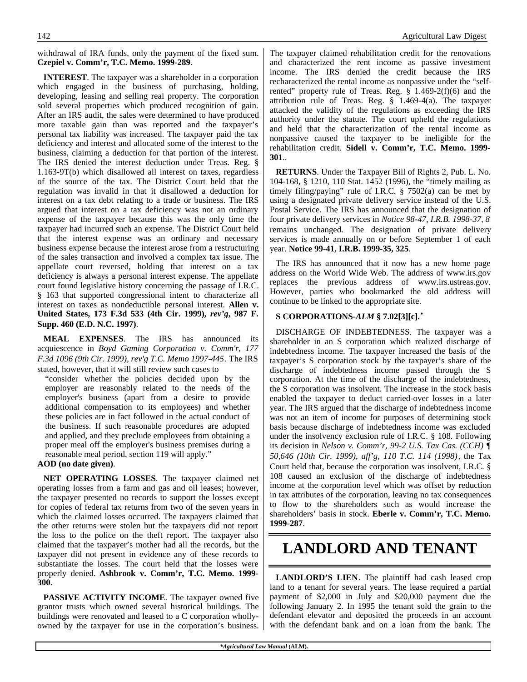**INTEREST**. The taxpayer was a shareholder in a corporation which engaged in the business of purchasing, holding, developing, leasing and selling real property. The corporation sold several properties which produced recognition of gain. After an IRS audit, the sales were determined to have produced more taxable gain than was reported and the taxpayer's personal tax liability was increased. The taxpayer paid the tax deficiency and interest and allocated some of the interest to the business, claiming a deduction for that portion of the interest. The IRS denied the interest deduction under Treas. Reg. § 1.163-9T(b) which disallowed all interest on taxes, regardless of the source of the tax. The District Court held that the regulation was invalid in that it disallowed a deduction for interest on a tax debt relating to a trade or business. The IRS argued that interest on a tax deficiency was not an ordinary expense of the taxpayer because this was the only time the taxpayer had incurred such an expense. The District Court held that the interest expense was an ordinary and necessary business expense because the interest arose from a restructuring of the sales transaction and involved a complex tax issue. The appellate court reversed, holding that interest on a tax deficiency is always a personal interest expense. The appellate court found legislative history concerning the passage of I.R.C. § 163 that supported congressional intent to characterize all interest on taxes as nondeductible personal interest. **Allen v. United States, 173 F.3d 533 (4th Cir. 1999),** *rev'g***, 987 F. Supp. 460 (E.D. N.C. 1997)**.

**MEAL EXPENSES**. The IRS has announced its acquiescence in *Boyd Gaming Corporation v. Comm'r, 177 F.3d 1096 (9th Cir. 1999), rev'g T.C. Memo 1997-445*. The IRS stated, however, that it will still review such cases to

"consider whether the policies decided upon by the employer are reasonably related to the needs of the employer's business (apart from a desire to provide additional compensation to its employees) and whether these policies are in fact followed in the actual conduct of the business. If such reasonable procedures are adopted and applied, and they preclude employees from obtaining a proper meal off the employer's business premises during a reasonable meal period, section 119 will apply."

#### **AOD (no date given)**.

**NET OPERATING LOSSES**. The taxpayer claimed net operating losses from a farm and gas and oil leases; however, the taxpayer presented no records to support the losses except for copies of federal tax returns from two of the seven years in which the claimed losses occurred. The taxpayers claimed that the other returns were stolen but the taxpayers did not report the loss to the police on the theft report. The taxpayer also claimed that the taxpayer's mother had all the records, but the taxpayer did not present in evidence any of these records to substantiate the losses. The court held that the losses were properly denied. **Ashbrook v. Comm'r, T.C. Memo. 1999- 300**.

**PASSIVE ACTIVITY INCOME**. The taxpayer owned five grantor trusts which owned several historical buildings. The buildings were renovated and leased to a C corporation whollyowned by the taxpayer for use in the corporation's business. The taxpayer claimed rehabilitation credit for the renovations and characterized the rent income as passive investment income. The IRS denied the credit because the IRS recharacterized the rental income as nonpassive under the "selfrented" property rule of Treas. Reg. § 1.469-2(f)(6) and the attribution rule of Treas. Reg. § 1.469-4(a). The taxpayer attacked the validity of the regulations as exceeding the IRS authority under the statute. The court upheld the regulations and held that the characterization of the rental income as nonpassive caused the taxpayer to be ineligible for the rehabilitation credit. **Sidell v. Comm'r, T.C. Memo. 1999- 301**..

**RETURNS**. Under the Taxpayer Bill of Rights 2, Pub. L. No. 104-168, § 1210, 110 Stat. 1452 (1996), the "timely mailing as timely filing/paying" rule of I.R.C. § 7502(a) can be met by using a designated private delivery service instead of the U.S. Postal Service. The IRS has announced that the designation of four private delivery services in *Notice 98-47, I.R.B. 1998-37, 8* remains unchanged. The designation of private delivery services is made annually on or before September 1 of each year. **Notice 99-41, I.R.B. 1999-35, 325**.

The IRS has announced that it now has a new home page address on the World Wide Web. The address of www.irs.gov replaces the previous address of www.irs.ustreas.gov. However, parties who bookmarked the old address will continue to be linked to the appropriate site.

#### **S CORPORATIONS-***ALM* **§ 7.02[3][c].\***

DISCHARGE OF INDEBTEDNESS. The taxpayer was a shareholder in an S corporation which realized discharge of indebtedness income. The taxpayer increased the basis of the taxpayer's S corporation stock by the taxpayer's share of the discharge of indebtedness income passed through the S corporation. At the time of the discharge of the indebtedness, the S corporation was insolvent. The increase in the stock basis enabled the taxpayer to deduct carried-over losses in a later year. The IRS argued that the discharge of indebtedness income was not an item of income for purposes of determining stock basis because discharge of indebtedness income was excluded under the insolvency exclusion rule of I.R.C. § 108. Following its decision in *Nelson v. Comm'r, 99-2 U.S. Tax Cas. (CCH) ¶ 50,646 (10th Cir. 1999), aff'g, 110 T.C. 114 (1998)*, the Tax Court held that, because the corporation was insolvent, I.R.C. § 108 caused an exclusion of the discharge of indebtedness income at the corporation level which was offset by reduction in tax attributes of the corporation, leaving no tax consequences to flow to the shareholders such as would increase the shareholders' basis in stock. **Eberle v. Comm'r, T.C. Memo. 1999-287**.

### **LANDLORD AND TENANT**

**LANDLORD'S LIEN**. The plaintiff had cash leased crop land to a tenant for several years. The lease required a partial payment of \$2,000 in July and \$20,000 payment due the following January 2. In 1995 the tenant sold the grain to the defendant elevator and deposited the proceeds in an account with the defendant bank and on a loan from the bank. The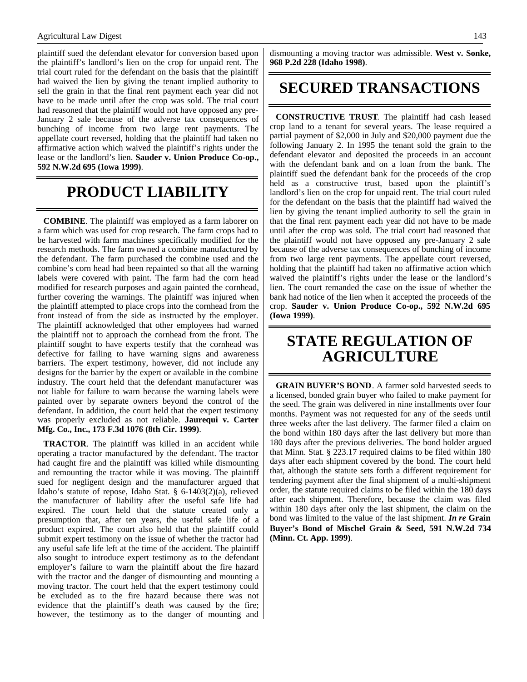plaintiff sued the defendant elevator for conversion based upon the plaintiff's landlord's lien on the crop for unpaid rent. The trial court ruled for the defendant on the basis that the plaintiff had waived the lien by giving the tenant implied authority to sell the grain in that the final rent payment each year did not have to be made until after the crop was sold. The trial court had reasoned that the plaintiff would not have opposed any pre-January 2 sale because of the adverse tax consequences of bunching of income from two large rent payments. The appellate court reversed, holding that the plaintiff had taken no affirmative action which waived the plaintiff's rights under the lease or the landlord's lien. **Sauder v. Union Produce Co-op., 592 N.W.2d 695 (Iowa 1999)**.

# **PRODUCT LIABILITY**

**COMBINE**. The plaintiff was employed as a farm laborer on a farm which was used for crop research. The farm crops had to be harvested with farm machines specifically modified for the research methods. The farm owned a combine manufactured by the defendant. The farm purchased the combine used and the combine's corn head had been repainted so that all the warning labels were covered with paint. The farm had the corn head modified for research purposes and again painted the cornhead, further covering the warnings. The plaintiff was injured when the plaintiff attempted to place crops into the cornhead from the front instead of from the side as instructed by the employer. The plaintiff acknowledged that other employees had warned the plaintiff not to approach the cornhead from the front. The plaintiff sought to have experts testify that the cornhead was defective for failing to have warning signs and awareness barriers. The expert testimony, however, did not include any designs for the barrier by the expert or available in the combine industry. The court held that the defendant manufacturer was not liable for failure to warn because the warning labels were painted over by separate owners beyond the control of the defendant. In addition, the court held that the expert testimony was properly excluded as not reliable. **Jaurequi v. Carter Mfg. Co., Inc., 173 F.3d 1076 (8th Cir. 1999)**.

**TRACTOR**. The plaintiff was killed in an accident while operating a tractor manufactured by the defendant. The tractor had caught fire and the plaintiff was killed while dismounting and remounting the tractor while it was moving. The plaintiff sued for negligent design and the manufacturer argued that Idaho's statute of repose, Idaho Stat. § 6-1403(2)(a), relieved the manufacturer of liability after the useful safe life had expired. The court held that the statute created only a presumption that, after ten years, the useful safe life of a product expired. The court also held that the plaintiff could submit expert testimony on the issue of whether the tractor had any useful safe life left at the time of the accident. The plaintiff also sought to introduce expert testimony as to the defendant employer's failure to warn the plaintiff about the fire hazard with the tractor and the danger of dismounting and mounting a moving tractor. The court held that the expert testimony could be excluded as to the fire hazard because there was not evidence that the plaintiff's death was caused by the fire; however, the testimony as to the danger of mounting and

dismounting a moving tractor was admissible. **West v. Sonke, 968 P.2d 228 (Idaho 1998)**.

### **SECURED TRANSACTIONS**

**CONSTRUCTIVE TRUST**. The plaintiff had cash leased crop land to a tenant for several years. The lease required a partial payment of \$2,000 in July and \$20,000 payment due the following January 2. In 1995 the tenant sold the grain to the defendant elevator and deposited the proceeds in an account with the defendant bank and on a loan from the bank. The plaintiff sued the defendant bank for the proceeds of the crop held as a constructive trust, based upon the plaintiff's landlord's lien on the crop for unpaid rent. The trial court ruled for the defendant on the basis that the plaintiff had waived the lien by giving the tenant implied authority to sell the grain in that the final rent payment each year did not have to be made until after the crop was sold. The trial court had reasoned that the plaintiff would not have opposed any pre-January 2 sale because of the adverse tax consequences of bunching of income from two large rent payments. The appellate court reversed, holding that the plaintiff had taken no affirmative action which waived the plaintiff's rights under the lease or the landlord's lien. The court remanded the case on the issue of whether the bank had notice of the lien when it accepted the proceeds of the crop. **Sauder v. Union Produce Co-op., 592 N.W.2d 695 (Iowa 1999)**.

### **STATE REGULATION OF AGRICULTURE**

**GRAIN BUYER'S BOND**. A farmer sold harvested seeds to a licensed, bonded grain buyer who failed to make payment for the seed. The grain was delivered in nine installments over four months. Payment was not requested for any of the seeds until three weeks after the last delivery. The farmer filed a claim on the bond within 180 days after the last delivery but more than 180 days after the previous deliveries. The bond holder argued that Minn. Stat. § 223.17 required claims to be filed within 180 days after each shipment covered by the bond. The court held that, although the statute sets forth a different requirement for tendering payment after the final shipment of a multi-shipment order, the statute required claims to be filed within the 180 days after each shipment. Therefore, because the claim was filed within 180 days after only the last shipment, the claim on the bond was limited to the value of the last shipment. *In re* **Grain Buyer's Bond of Mischel Grain & Seed, 591 N.W.2d 734 (Minn. Ct. App. 1999)**.